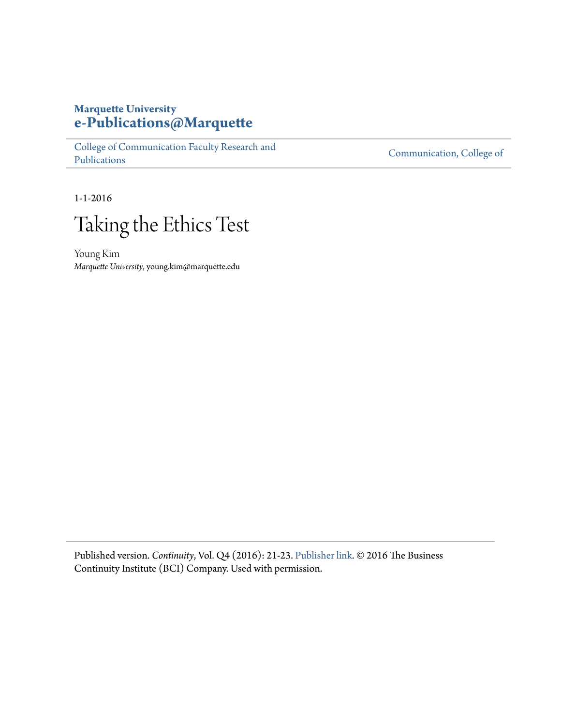## **Marquette University [e-Publications@Marquette](https://epublications.marquette.edu)**

[College of Communication Faculty Research and](https://epublications.marquette.edu/comm_fac) [Publications](https://epublications.marquette.edu/comm_fac)

[Communication, College of](https://epublications.marquette.edu/communication)

1-1-2016



Young Kim *Marquette University*, young.kim@marquette.edu

Published version. *Continuity*, Vol. Q4 (2016): 21-23. [Publisher link](https://www.thebci.org/resource/continuity-magazine-2016---q4-edition.html). © 2016 The Business Continuity Institute (BCI) Company. Used with permission.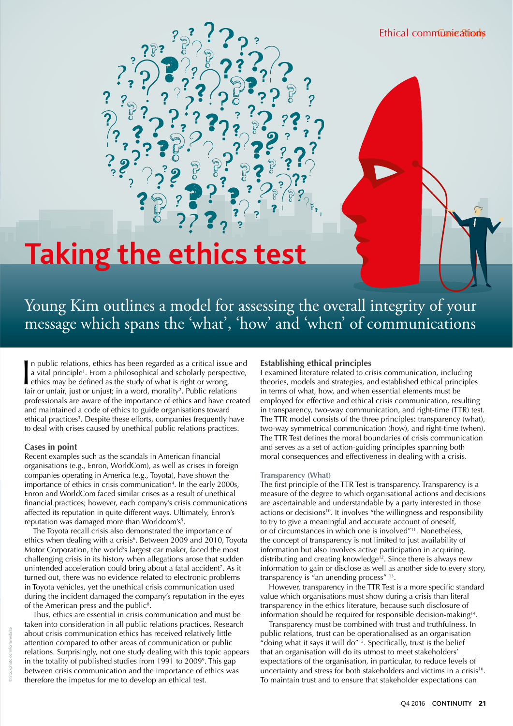# **Taking the ethics test**

# Young Kim outlines a model for assessing the overall integrity of your message which spans the 'what', 'how' and 'when' of communications

In public relations, ethics has been regarded as a critical issue<br>a vital principle<sup>1</sup>. From a philosophical and scholarly perspect<br>thics may be defined as the study of what is right or wrong,<br>fair or unfair, just or unju n public relations, ethics has been regarded as a critical issue and a vital principle<sup>1</sup>. From a philosophical and scholarly perspective, fair or unfair, just or unjust; in a word, morality<sup>2</sup>. Public relations professionals are aware of the importance of ethics and have created and maintained a code of ethics to guide organisations toward ethical practices<sup>3</sup>. Despite these efforts, companies frequently have to deal with crises caused by unethical public relations practices.

#### **Cases in point**

Recent examples such as the scandals in American financial organisations (e.g., Enron, WorldCom), as well as crises in foreign companies operating in America (e.g., Toyota), have shown the importance of ethics in crisis communication<sup>4</sup>. In the early 2000s, Enron and WorldCom faced similar crises as a result of unethical financial practices; however, each company's crisis communications affected its reputation in quite different ways. Ultimately, Enron's reputation was damaged more than Worldcom's<sup>5</sup>.

The Toyota recall crisis also demonstrated the importance of ethics when dealing with a crisis<sup>6</sup>. Between 2009 and 2010, Toyota Motor Corporation, the world's largest car maker, faced the most challenging crisis in its history when allegations arose that sudden unintended acceleration could bring about a fatal accident<sup>7</sup>. As it turned out, there was no evidence related to electronic problems in Toyota vehicles, yet the unethical crisis communication used during the incident damaged the company's reputation in the eyes of the American press and the public<sup>8</sup>.

Thus, ethics are essential in crisis communication and must be taken into consideration in all public relations practices. Research about crisis communication ethics has received relatively little attention compared to other areas of communication or public relations. Surprisingly, not one study dealing with this topic appears in the totality of published studies from 1991 to 20099 . This gap between crisis communication and the importance of ethics was therefore the impetus for me to develop an ethical test.

#### **Establishing ethical principles**

I examined literature related to crisis communication, including theories, models and strategies, and established ethical principles in terms of what, how, and when essential elements must be employed for effective and ethical crisis communication, resulting in transparency, two-way communication, and right-time (TTR) test. The TTR model consists of the three principles: transparency (what), two-way symmetrical communication (how), and right-time (when). The TTR Test defines the moral boundaries of crisis communication and serves as a set of action-guiding principles spanning both moral consequences and effectiveness in dealing with a crisis.

#### **Transparency (What)**

The first principle of the TTR Test is transparency. Transparency is a measure of the degree to which organisational actions and decisions are ascertainable and understandable by a party interested in those actions or decisions<sup>10</sup>. It involves "the willingness and responsibility to try to give a meaningful and accurate account of oneself, or of circumstances in which one is involved"<sup>11</sup>. Nonetheless, the concept of transparency is not limited to just availability of information but also involves active participation in acquiring, distributing and creating knowledge<sup>12</sup>. Since there is always new information to gain or disclose as well as another side to every story, transparency is "an unending process" 13.

However, transparency in the TTR Test is a more specific standard value which organisations must show during a crisis than literal transparency in the ethics literature, because such disclosure of information should be required for responsible decision-making14.

Transparency must be combined with trust and truthfulness. In public relations, trust can be operationalised as an organisation "doing what it says it will do"<sup>15</sup>. Specifically, trust is the belief that an organisation will do its utmost to meet stakeholders' expectations of the organisation, in particular, to reduce levels of uncertainty and stress for both stakeholders and victims in a crisis<sup>16</sup>. To maintain trust and to ensure that stakeholder expectations can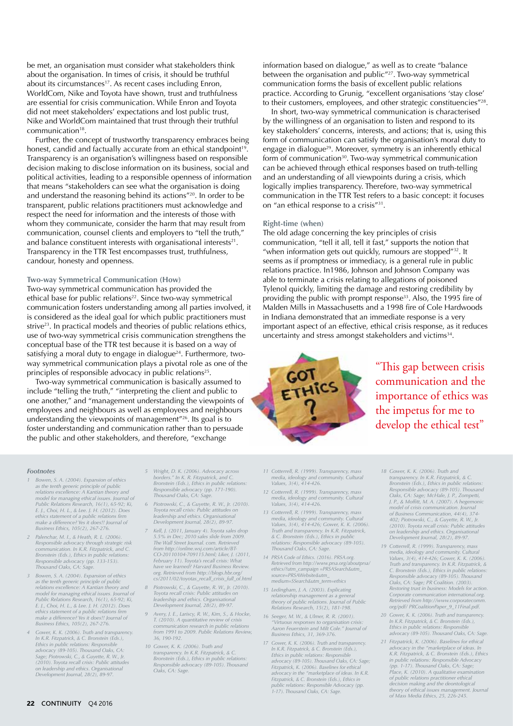be met, an organisation must consider what stakeholders think about the organisation. In times of crisis, it should be truthful about its circumstances<sup>17</sup>. As recent cases including Enron, WorldCom, Nike and Toyota have shown, trust and truthfulness are essential for crisis communication. While Enron and Toyota did not meet stakeholders' expectations and lost public trust, Nike and WorldCom maintained that trust through their truthful communication18.

Further, the concept of trustworthy transparency embraces being honest, candid and factually accurate from an ethical standpoint<sup>19</sup>. Transparency is an organisation's willingness based on responsible decision making to disclose information on its business, social and political activities, leading to a responsible openness of information that means "stakeholders can see what the organisation is doing and understand the reasoning behind its actions"20. In order to be transparent, public relations practitioners must acknowledge and respect the need for information and the interests of those with whom they communicate, consider the harm that may result from communication, counsel clients and employers to "tell the truth," and balance constituent interests with organisational interests $21$ . Transparency in the TTR Test encompasses trust, truthfulness, candour, honesty and openness.

#### **Two-way Symmetrical Communication (How)**

Two-way symmetrical communication has provided the ethical base for public relations<sup>22</sup>. Since two-way symmetrical communication fosters understanding among all parties involved, it is considered as the ideal goal for which public practitioners must strive<sup>23</sup>. In practical models and theories of public relations ethics, use of two-way symmetrical crisis communication strengthens the conceptual base of the TTR test because it is based on a way of satisfying a moral duty to engage in dialogue<sup>24</sup>. Furthermore, twoway symmetrical communication plays a pivotal role as one of the principles of responsible advocacy in public relations<sup>25</sup>.

Two-way symmetrical communication is basically assumed to include "telling the truth," "interpreting the client and public to one another," and "management understanding the viewpoints of employees and neighbours as well as employees and neighbours understanding the viewpoints of management"26. Its goal is to foster understanding and communication rather than to persuade the public and other stakeholders, and therefore, "exchange

- 1 Bowen, S. A. (2004). Expansion of ethics<br>as the tenth generic principle of public<br>relations: The accelence: A Kantian theory and<br>model for managing ethical issues. Journal of Thousand Oaks, CA: Sage.<br>model for managing e *ethics statement of a public relations frm leadership and ethics. Organisational make a difference? Yes it does!! Journal of Development Journal, 28(2), 89-97.*
- *Responsible advocacy (pp. 133-153). February 11). Toyota's recall crisis: What*
- *org. Retrieved from http://blogs.hbr.org/*<br> *Bowen, S. A. (2004). Expansion of ethics* cs/2011/02/toyotas\_recall\_crisis\_full\_of.html<br> *as the tenth generic principle of public*  $\frac{cs}{201/02/0}$ <br> *A Piotrowski, C., & Guyet* model for managing ethical issues. Journal of Toyota recall crisis: Public attitudes on<br>
Public Relations Research, 16(1), 65-92; Ki, leadership and ethics. Organisational<br>
E. J., Choi, H. L., & Lee, I. H. (2012). Does Dev
- *In K.R. Fitzpatrick, & C. Bronstein (Eds.),* Ethics in public relations: Responsible<br>
Ethics in public relations: Responsible<br>
advocacy (89-105). Thousand Oaks, CA:<br>
Sage; Piotrowski, C., & Guyette, R. W., Jr.<br>
Sage; Piotrowski, C., & Guyette, R. W., Jr.<br>
(2010). Toy
- *Footnotes 5 Wright, D. K. (2006). Advocacy across* 
	- *Public Relations Research, 16(1), 65-92; Ki, 6 Piotrowski, C., & Guyette, R. W., Jr. (2010). E. J., Choi, H. L., & Lee. J. H. (2012). Does Toyota recall crisis: Public attitudes on*
- *Business Ethics, 105(2), 267-276. 7 Kell, J. (2011, January 4). Toyota sales drop 2 Palenchar, M. I., & Heath, R. L. (2006). 5.5% in Dec; 2010 sales slide from 2009.*  Responsible advocacy through strategic risk file Wall Street Journal. com. Retrieved<br>communication. In K.R. Fitzpatrick, and C. file file file of the file of the BT-<br>Bronstein (Eds.), Ethics in public relations: file CO-20 *have we learned? Harvard Business Review.* 
	- *8 Piotrowski, C., & Guyette, R. W., Jr. (2010).* Tovota recall crisis: Public attitudes on
	- *4 Gower, K. K. (2006). Truth and transparency. from 1991 to 2009. Public Relations Review,* 
		-

information based on dialogue," as well as to create "balance between the organisation and public"27. Two-way symmetrical communication forms the basis of excellent public relations practice. According to Grunig, "excellent organisations 'stay close' to their customers, employees, and other strategic constituencies"<sup>28</sup>.

In short, two-way symmetrical communication is characterised by the willingness of an organisation to listen and respond to its key stakeholders' concerns, interests, and actions; that is, using this form of communication can satisfy the organisation's moral duty to engage in dialogue<sup>29</sup>. Moreover, symmetry is an inherently ethical form of communication<sup>30</sup>. Two-way symmetrical communication can be achieved through ethical responses based on truth-telling and an understanding of all viewpoints during a crisis, which logically implies transparency. Therefore, two-way symmetrical communication in the TTR Test refers to a basic concept: it focuses on "an ethical response to a crisis"31.

#### **Right-time (when)**

The old adage concerning the key principles of crisis communication, "tell it all, tell it fast," supports the notion that "when information gets out quickly, rumours are stopped"32. It seems as if promptness or immediacy, is a general rule in public relations practice. In1986, Johnson and Johnson Company was able to terminate a crisis relating to allegations of poisoned Tylenol quickly, limiting the damage and restoring credibility by providing the public with prompt response<sup>33</sup>. Also, the 1995 fire of Malden Mills in Massachusetts and a 1998 fre of Cole Hardwoods in Indiana demonstrated that an immediate response is a very important aspect of an effective, ethical crisis response, as it reduces uncertainty and stress amongst stakeholders and victims<sup>34</sup>.



"This gap between crisis communication and the importance of ethics was the impetus for me to develop the ethical test"

- *11 Cotterrell, R. (1999). Transparency, mass media, ideology and community. Cultural Values, 3(4), 414-426.*
- *12 Cotterrell, R. (1999). Transparency, mass media, ideology and community. Cultural Values, 3(4), 414-426.*
- *13 Cotterrell, R. (1999). Transparency, mass media, ideology and community. Cultural Values, 3(4), 414-426; Gower, K. K. (2006). Truth and transparency. In K.R. Fitzpatrick, & C. Bronstein (Eds.), Ethics in public relations: Responsible advocacy (89-105). Thousand Oaks, CA: Sage.*
- *14 PRSA Code of Ethics. (2016). PRSA.org. Retrieved from http://www.prsa.org/aboutprsa/ ethics/?utm\_campaign =PRSASearch&utm\_ source=PRSAWebsite&utm\_ medium=SSearch&utm\_term=ethics*
- *15 Ledingham, J. A. (2003). Explicating relationship management as a general theory of public relations. Journal of Public Relations Research, 15(2), 181-198.*
- *16 Seeger, M. W., & Ulmer, R. R. (2001). "Virtuous responses to organisation crisis: Aaron Feuerstein and Milt Cole." Journal of Business Ethics, 31, 369-376.*
- *17 Gower, K. K. (2006). Truth and transparency. In K.R. Fitzpatrick, & C. Bronstein (Eds.), Ethics in public relations: Responsible advocacy (89-105). Thousand Oaks, CA: Sage; Fitzpatrick, K. (2006). Baselines for ethical advocacy in the "marketplace of ideas. In K.R. Fitzpatrick, & C. Bronstein (Eds.), Ethics in public relations: Responsible Advocacy (pp. 1-17). Thousand Oaks, CA: Sage.*
- *18 Gower, K. K. (2006). Truth and transparency. In K.R. Fitzpatrick, & C. Bronstein (Eds.), Ethics in public relations: Responsible advocacy (89-105). Thousand Oaks, CA: Sage; McHale, J. P., Zompetti, J. P., & Mofftt, M. A. (2007). A hegemonic model of crisis communication. Journal of Business Communication, 44(4), 374- 402; Piotrowski, C., & Guyette, R. W., Jr. (2010). Toyota recall crisis: Public attitudes on leadership and ethics. Organisational Development Journal, 28(2), 89-97.*
- *19 Cotterrell, R. (1999). Transparency, mass media, ideology and community. Cultural Values, 3(4), 414-426; Gower, K. K. (2006). Truth and transparency. In K.R. Fitzpatrick, & C. Bronstein (Eds.), Ethics in public relations: Responsible advocacy (89-105). Thousand Oaks, CA: Sage; PR Coalition. (2003). Restoring trust in business: Models for action. Corporate communication international.org. Retrieved from http://www.corporatecomm. org/pdf/ PRCoalitionPaper\_9\_11Final.pdf.*
- *20 Gower, K. K. (2006). Truth and transparency. In K.R. Fitzpatrick, & C. Bronstein (Eds.), Ethics in public relations: Responsible advocacy (89-105). Thousand Oaks, CA: Sage.*
- *21 Fitzpatrick, K. (2006). Baselines for ethical advocacy in the "marketplace of ideas. In K.R. Fitzpatrick, & C. Bronstein (Eds.), Ethics in public relations: Responsible Advocacy (pp. 1-17). Thousand Oaks, CA: Sage; Place, K. (2010). A qualitative examination of public relations practitioner ethical decision making and the deontological theory of ethical issues management. Journal of Mass Media Ethics, 25, 226-245.*